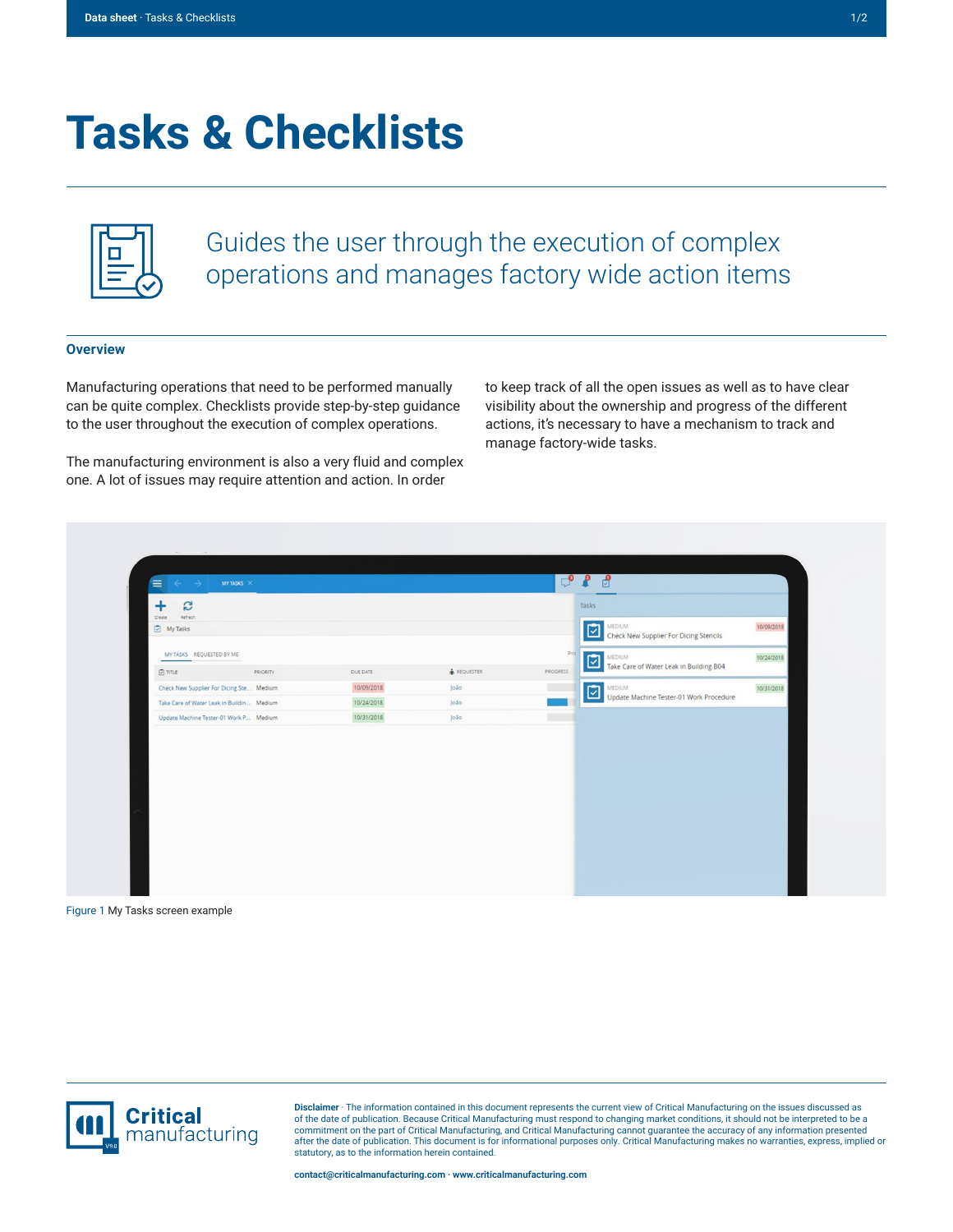## **Tasks & Checklists**

Guides the user through the execution of complex operations and manages factory wide action items

## **Overview**

Manufacturing operations that need to be performed manually can be quite complex. Checklists provide step-by-step guidance to the user throughout the execution of complex operations.

The manufacturing environment is also a very fluid and complex one. A lot of issues may require attention and action. In order

to keep track of all the open issues as well as to have clear visibility about the ownership and progress of the different actions, it's necessary to have a mechanism to track and manage factory-wide tasks.

| $\equiv$ $\leftarrow$ $\rightarrow$<br>MY TASKS $\,$ $\times$ |          |            |                    | $C_0$ is $\mathbb{R}$ |       | ி                                                 |            |
|---------------------------------------------------------------|----------|------------|--------------------|-----------------------|-------|---------------------------------------------------|------------|
| S<br>+                                                        |          |            |                    |                       | Tasks |                                                   |            |
| Refresh<br>Create<br>My Tasks                                 |          |            |                    |                       | ⊡     | MEDIUM                                            | 10/09/2018 |
|                                                               |          |            |                    |                       |       | Check New Supplier For Dicing Stencils            |            |
| MY TASKS REQUESTED BY ME                                      |          |            |                    | Pric                  |       | MEDIUM<br>Take Care of Water Leak in Building B04 | 10/24/2018 |
| $\Box$ mm.e                                                   | PRIORITY | DUE DATE   | <b>A</b> REQUESTER | PROGRESS              |       |                                                   |            |
| Check New Supplier For Dicing Ste Medium                      |          | 10/09/2018 | loão               | E.                    |       | MEDIUM<br>Update Machine Tester-01 Work Procedure | 10/31/2018 |
| Take Care of Water Leak in Buildin Medium                     |          | 10/24/2018 | João               |                       |       |                                                   |            |
| Update Machine Tester-01 Work P Medium                        |          | 10/31/2018 | João               |                       |       |                                                   |            |
|                                                               |          |            |                    |                       |       |                                                   |            |
|                                                               |          |            |                    |                       |       |                                                   |            |
|                                                               |          |            |                    |                       |       |                                                   |            |
|                                                               |          |            |                    |                       |       |                                                   |            |
|                                                               |          |            |                    |                       |       |                                                   |            |
|                                                               |          |            |                    |                       |       |                                                   |            |
|                                                               |          |            |                    |                       |       |                                                   |            |
|                                                               |          |            |                    |                       |       |                                                   |            |

Figure 1 My Tasks screen example



**Disclaimer** · The information contained in this document represents the current view of Critical Manufacturing on the issues discussed as of the date of publication. Because Critical Manufacturing must respond to changing market conditions, it should not be interpreted to be a<br>commitment on the part of Critical Manufacturing, and Critical Manufacturing canno statutory, as to the information herein contained.